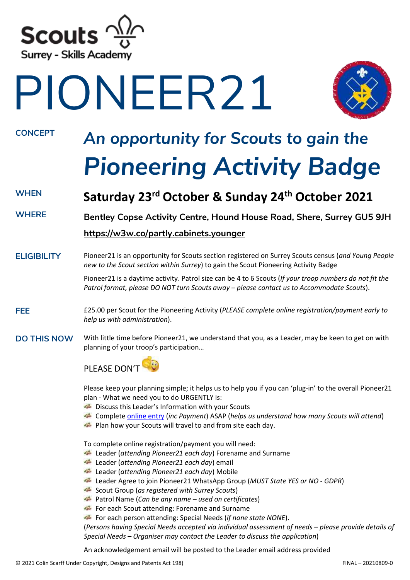

# PIONEER21



# **CONCEPT** *An opportunity for Scouts to gain the Pioneering Activity Badge*

### **WHEN Saturday 23rd October & Sunday 24 th October 2021**

**WHERE [Bentley Copse Activity Centre, Hound House Road, Shere, Surrey GU5 9JH](https://www.google.com/maps/place/Bentley+Copse+Activity+Centre/@51.1871937,-0.4659967,17z/data=!3m1!4b1!4m5!3m4!1s0x4875dca8452ad9bd:0x3420aec59bf009e3!8m2!3d51.1871904!4d-0.463808)**

### **<https://w3w.co/partly.cabinets.younger>**

**ELIGIBILITY** Pioneer21 is an opportunity for Scouts section registered on Surrey Scouts census (*and Young People new to the Scout section within Surrey*) to gain the Scout Pioneering Activity Badge

> Pioneer21 is a daytime activity. Patrol size can be 4 to 6 Scouts (*If your troop numbers do not fit the Patrol format, please DO NOT turn Scouts away – please contact us to Accommodate Scouts*).

- **FEE** £25.00 per Scout for the Pioneering Activity (*PLEASE complete online registration/payment early to help us with administration*).
- **DO THIS NOW** With little time before Pioneer21, we understand that you, as a Leader, may be keen to get on with planning of your troop's participation…



Please keep your planning simple; it helps us to help you if you can 'plug-in' to the overall Pioneer21 plan - What we need you to do URGENTLY is:

- Discuss this Leader's Information with your Scouts
- Complet[e online entry](https://www.trybooking.com/uk/events/landing?embed&eid=20888) (*inc Payment*) ASAP (*helps us understand how many Scouts will attend*)
- **Plan how your Scouts will travel to and from site each day.**

To complete online registration/payment you will need:

- Leader (*attending Pioneer21 each day*) Forename and Surname
- Leader (*attending Pioneer21 each day*) email
- Leader (*attending Pioneer21 each day*) Mobile
- Leader Agree to join Pioneer21 WhatsApp Group (*MUST State YES or NO - GDPR*)
- Scout Group (*as registered with Surrey Scouts*)
- Patrol Name (*Can be any name – used on certificates*)
- For each Scout attending: Forename and Surname

For each person attending: Special Needs (*if none state NONE*).

(*Persons having Special Needs accepted via individual assessment of needs – please provide details of Special Needs – Organiser may contact the Leader to discuss the application*)

An acknowledgement email will be posted to the Leader email address provided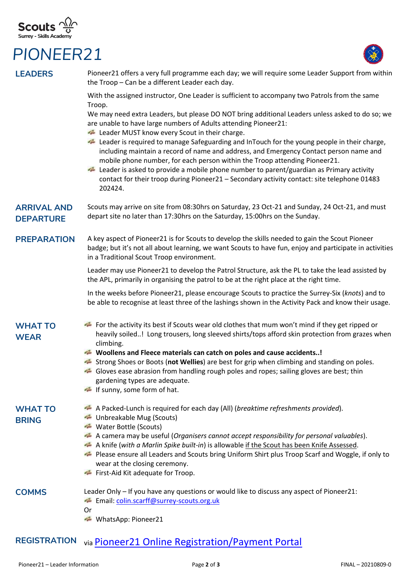## **Scouts**  $\frac{\sqrt{\lambda}}{2}$ <br>Surrey - Skills Academy

### *PIONEER21*



| <b>LEADERS</b>                         | Pioneer21 offers a very full programme each day; we will require some Leader Support from within<br>the Troop - Can be a different Leader each day.                                                                                                                                                                                                                                                                                                                      |
|----------------------------------------|--------------------------------------------------------------------------------------------------------------------------------------------------------------------------------------------------------------------------------------------------------------------------------------------------------------------------------------------------------------------------------------------------------------------------------------------------------------------------|
|                                        | With the assigned instructor, One Leader is sufficient to accompany two Patrols from the same<br>Troop.                                                                                                                                                                                                                                                                                                                                                                  |
|                                        | We may need extra Leaders, but please DO NOT bring additional Leaders unless asked to do so; we<br>are unable to have large numbers of Adults attending Pioneer21:<br>Leader MUST know every Scout in their charge.                                                                                                                                                                                                                                                      |
|                                        | Leader is required to manage Safeguarding and InTouch for the young people in their charge,<br>including maintain a record of name and address, and Emergency Contact person name and<br>mobile phone number, for each person within the Troop attending Pioneer21.<br>Leader is asked to provide a mobile phone number to parent/guardian as Primary activity<br>contact for their troop during Pioneer21 - Secondary activity contact: site telephone 01483<br>202424. |
| <b>ARRIVAL AND</b><br><b>DEPARTURE</b> | Scouts may arrive on site from 08:30hrs on Saturday, 23 Oct-21 and Sunday, 24 Oct-21, and must<br>depart site no later than 17:30hrs on the Saturday, 15:00hrs on the Sunday.                                                                                                                                                                                                                                                                                            |
| <b>PREPARATION</b>                     | A key aspect of Pioneer21 is for Scouts to develop the skills needed to gain the Scout Pioneer<br>badge; but it's not all about learning, we want Scouts to have fun, enjoy and participate in activities<br>in a Traditional Scout Troop environment.                                                                                                                                                                                                                   |
|                                        | Leader may use Pioneer21 to develop the Patrol Structure, ask the PL to take the lead assisted by<br>the APL, primarily in organising the patrol to be at the right place at the right time.                                                                                                                                                                                                                                                                             |
|                                        | In the weeks before Pioneer21, please encourage Scouts to practice the Surrey-Six (knots) and to<br>be able to recognise at least three of the lashings shown in the Activity Pack and know their usage.                                                                                                                                                                                                                                                                 |
| <b>WHAT TO</b><br><b>WEAR</b>          | For the activity its best if Scouts wear old clothes that mum won't mind if they get ripped or<br>heavily soiled! Long trousers, long sleeved shirts/tops afford skin protection from grazes when<br>climbing.                                                                                                                                                                                                                                                           |
|                                        | Woollens and Fleece materials can catch on poles and cause accidents!                                                                                                                                                                                                                                                                                                                                                                                                    |
|                                        | Strong Shoes or Boots (not Wellies) are best for grip when climbing and standing on poles.<br>Gloves ease abrasion from handling rough poles and ropes; sailing gloves are best; thin                                                                                                                                                                                                                                                                                    |
|                                        | gardening types are adequate.<br>If sunny, some form of hat.                                                                                                                                                                                                                                                                                                                                                                                                             |
| <b>WHAT TO</b><br><b>BRING</b>         | A Packed-Lunch is required for each day (All) (breaktime refreshments provided).<br>Unbreakable Mug (Scouts)                                                                                                                                                                                                                                                                                                                                                             |
|                                        | Water Bottle (Scouts)<br>A camera may be useful (Organisers cannot accept responsibility for personal valuables).<br>$\sigma_{\rm gas}$                                                                                                                                                                                                                                                                                                                                  |
|                                        | A knife (with a Marlin Spike built-in) is allowable if the Scout has been Knife Assessed.<br>di gaze                                                                                                                                                                                                                                                                                                                                                                     |
|                                        | Please ensure all Leaders and Scouts bring Uniform Shirt plus Troop Scarf and Woggle, if only to<br>wear at the closing ceremony.                                                                                                                                                                                                                                                                                                                                        |
|                                        | First-Aid Kit adequate for Troop.                                                                                                                                                                                                                                                                                                                                                                                                                                        |
| <b>COMMS</b>                           | Leader Only - If you have any questions or would like to discuss any aspect of Pioneer21:<br>Email: colin.scarff@surrey-scouts.org.uk<br>Or                                                                                                                                                                                                                                                                                                                              |
|                                        | WhatsApp: Pioneer21                                                                                                                                                                                                                                                                                                                                                                                                                                                      |
| <b>REGISTRATION</b>                    | via Pioneer21 Online Registration/Payment Portal                                                                                                                                                                                                                                                                                                                                                                                                                         |